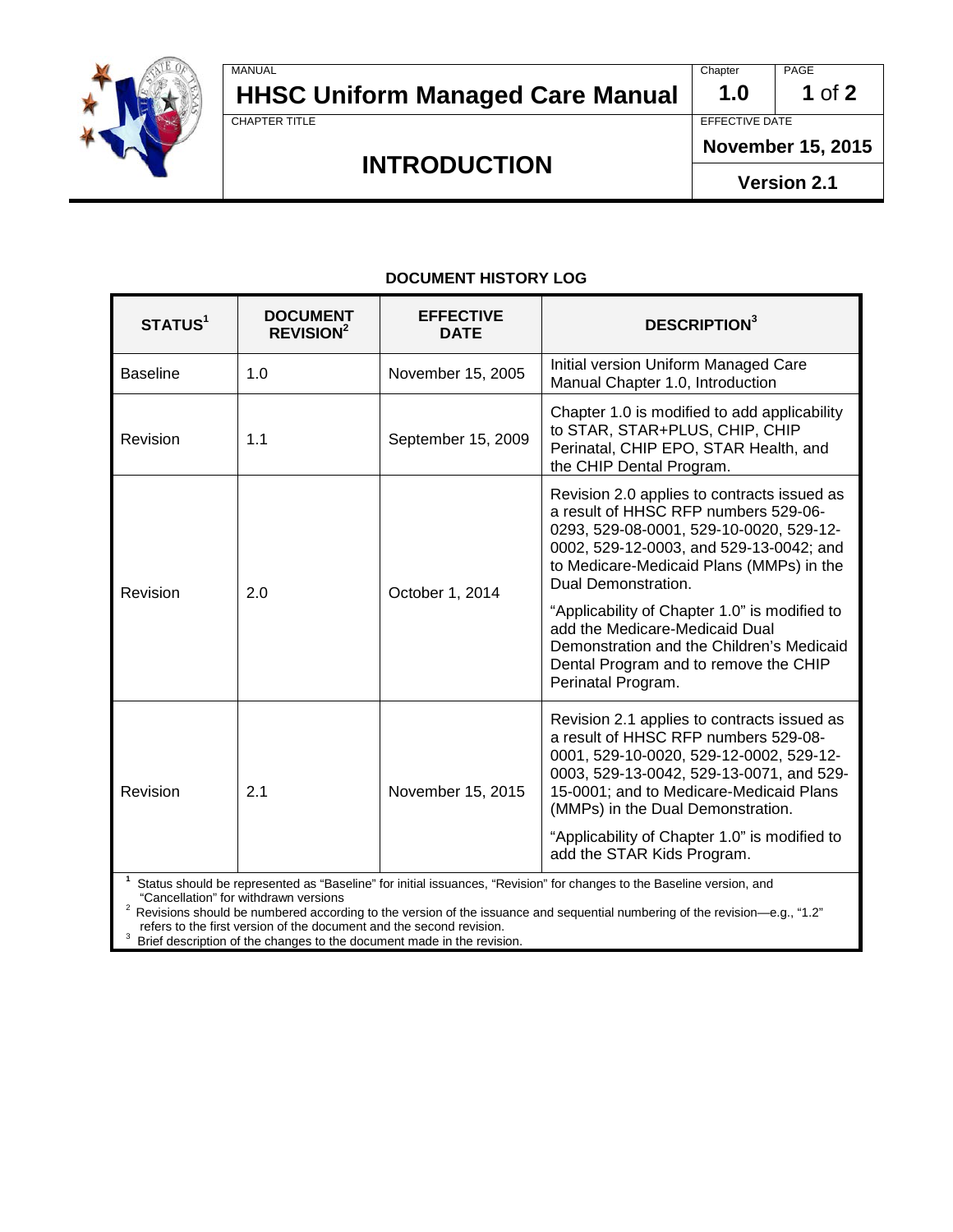

# **HHSC Uniform Managed Care Manual** 1.0 1 of 2

MANUAL PAGE PROPERTY AND RELEASED FOR THE CHAPTER OF THE CHAPTER OF PAGE PAGE PAGE

# **INTRODUCTION**

EFFECTIVE DATE

**November 15, 2015** 

**Version 2.1**

#### **DOCUMENT HISTORY LOG**

| <b>STATUS<sup>1</sup></b>                                                                                                                                      | <b>DOCUMENT</b><br><b>REVISION<sup>2</sup></b> | <b>EFFECTIVE</b><br><b>DATE</b> | <b>DESCRIPTION</b> <sup>3</sup>                                                                                                                                                                                                                                                                                                           |  |
|----------------------------------------------------------------------------------------------------------------------------------------------------------------|------------------------------------------------|---------------------------------|-------------------------------------------------------------------------------------------------------------------------------------------------------------------------------------------------------------------------------------------------------------------------------------------------------------------------------------------|--|
| <b>Baseline</b>                                                                                                                                                | 1.0                                            | November 15, 2005               | Initial version Uniform Managed Care<br>Manual Chapter 1.0, Introduction                                                                                                                                                                                                                                                                  |  |
| Revision                                                                                                                                                       | 1.1                                            | September 15, 2009              | Chapter 1.0 is modified to add applicability<br>to STAR, STAR+PLUS, CHIP, CHIP<br>Perinatal, CHIP EPO, STAR Health, and<br>the CHIP Dental Program.                                                                                                                                                                                       |  |
| Revision                                                                                                                                                       | 2.0                                            | October 1, 2014                 | Revision 2.0 applies to contracts issued as<br>a result of HHSC RFP numbers 529-06-<br>0293, 529-08-0001, 529-10-0020, 529-12-<br>0002, 529-12-0003, and 529-13-0042; and<br>to Medicare-Medicaid Plans (MMPs) in the<br>Dual Demonstration.                                                                                              |  |
|                                                                                                                                                                |                                                |                                 | "Applicability of Chapter 1.0" is modified to<br>add the Medicare-Medicaid Dual<br>Demonstration and the Children's Medicaid<br>Dental Program and to remove the CHIP<br>Perinatal Program.                                                                                                                                               |  |
| Revision                                                                                                                                                       | 2.1                                            | November 15, 2015               | Revision 2.1 applies to contracts issued as<br>a result of HHSC RFP numbers 529-08-<br>0001, 529-10-0020, 529-12-0002, 529-12-<br>0003, 529-13-0042, 529-13-0071, and 529-<br>15-0001; and to Medicare-Medicaid Plans<br>(MMPs) in the Dual Demonstration.<br>"Applicability of Chapter 1.0" is modified to<br>add the STAR Kids Program. |  |
| Status should be represented as "Baseline" for initial issuances, "Revision" for changes to the Baseline version, and<br>"Cancellation" for withdrawn versions |                                                |                                 |                                                                                                                                                                                                                                                                                                                                           |  |

"Cancellation" for withdrawn versions<br><sup>2</sup> Revisions should be numbered according to the version of the issuance and sequential numbering of the revision—e.g., "1.2" refers to the first version of the document and the second revision.<br><sup>3</sup> Prief doorrintion of the changes to the document mode in the revisi

<sup>3</sup> Brief description of the changes to the document made in the revision.